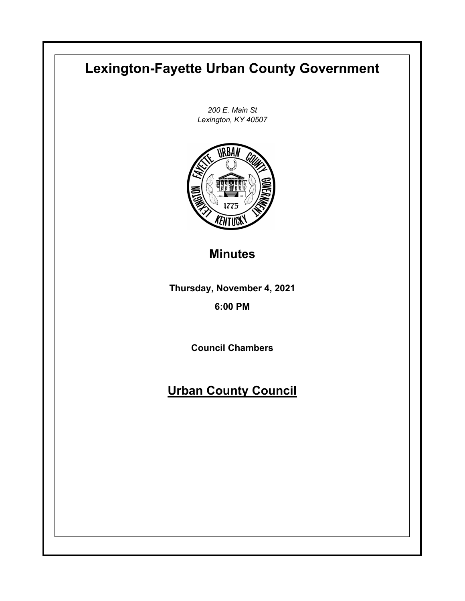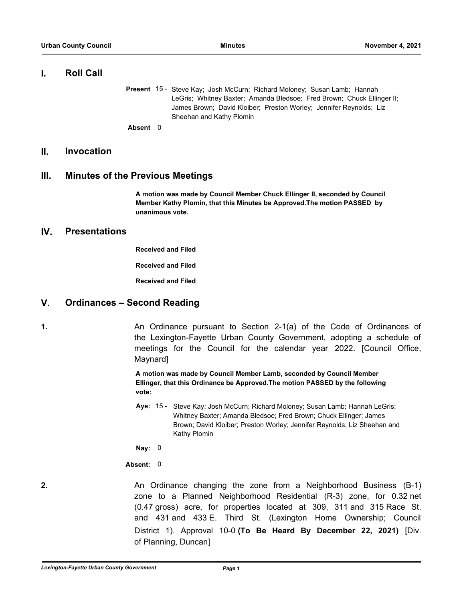# **I. Roll Call**

Present 15 - Steve Kay; Josh McCurn; Richard Moloney; Susan Lamb; Hannah LeGris; Whitney Baxter; Amanda Bledsoe; Fred Brown; Chuck Ellinger II; James Brown; David Kloiber; Preston Worley; Jennifer Reynolds; Liz Sheehan and Kathy Plomin

**Absent** 0

# **II. Invocation**

# **III. Minutes of the Previous Meetings**

**A motion was made by Council Member Chuck Ellinger II, seconded by Council Member Kathy Plomin, that this Minutes be Approved.The motion PASSED by unanimous vote.**

# **IV. Presentations**

**Received and Filed**

**Received and Filed**

**Received and Filed**

# **V. Ordinances – Second Reading**

**1.** An Ordinance pursuant to Section 2-1(a) of the Code of Ordinances of the Lexington-Fayette Urban County Government, adopting a schedule of meetings for the Council for the calendar year 2022. [Council Office, Maynard]

> **A motion was made by Council Member Lamb, seconded by Council Member Ellinger, that this Ordinance be Approved.The motion PASSED by the following vote:**

Aye: 15 - Steve Kay; Josh McCurn; Richard Moloney; Susan Lamb; Hannah LeGris; Whitney Baxter; Amanda Bledsoe; Fred Brown; Chuck Ellinger; James Brown; David Kloiber; Preston Worley; Jennifer Reynolds; Liz Sheehan and Kathy Plomin

**Nay:** 0

**Absent:** 0

**2.** An Ordinance changing the zone from a Neighborhood Business (B-1) zone to a Planned Neighborhood Residential (R-3) zone, for 0.32 net (0.47 gross) acre, for properties located at 309, 311 and 315 Race St. and 431 and 433 E. Third St. (Lexington Home Ownership; Council District 1). Approval 10-0 **(To Be Heard By December 22, 2021)** [Div. of Planning, Duncan]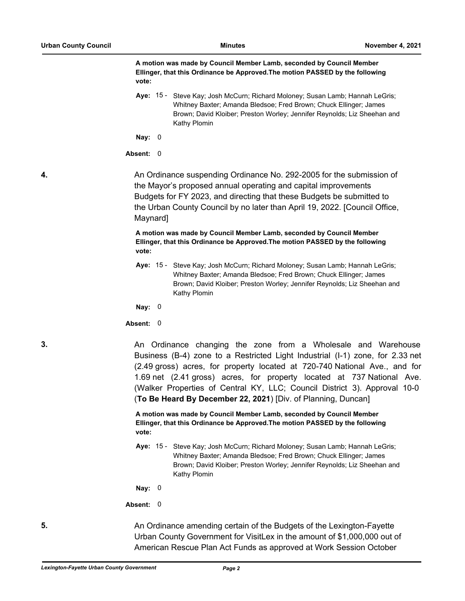**A motion was made by Council Member Lamb, seconded by Council Member Ellinger, that this Ordinance be Approved.The motion PASSED by the following vote:**

Aye: 15 - Steve Kay; Josh McCurn; Richard Moloney; Susan Lamb; Hannah LeGris; Whitney Baxter; Amanda Bledsoe; Fred Brown; Chuck Ellinger; James Brown; David Kloiber; Preston Worley; Jennifer Reynolds; Liz Sheehan and Kathy Plomin

**Nay:** 0

**Absent:** 0

**4.** An Ordinance suspending Ordinance No. 292-2005 for the submission of the Mayor's proposed annual operating and capital improvements Budgets for FY 2023, and directing that these Budgets be submitted to the Urban County Council by no later than April 19, 2022. [Council Office, Maynard]

> **A motion was made by Council Member Lamb, seconded by Council Member Ellinger, that this Ordinance be Approved.The motion PASSED by the following vote:**

**Aye:** Steve Kay; Josh McCurn; Richard Moloney; Susan Lamb; Hannah LeGris; Whitney Baxter; Amanda Bledsoe; Fred Brown; Chuck Ellinger; James Brown; David Kloiber; Preston Worley; Jennifer Reynolds; Liz Sheehan and Kathy Plomin Aye:  $15 -$ 

**Nay:** 0

**Absent:** 0

**3. An Ordinance changing the zone from a Wholesale and Warehouse** Business (B-4) zone to a Restricted Light Industrial (I-1) zone, for 2.33 net (2.49 gross) acres, for property located at 720-740 National Ave., and for 1.69 net (2.41 gross) acres, for property located at 737 National Ave. (Walker Properties of Central KY, LLC; Council District 3). Approval 10-0 (**To Be Heard By December 22, 2021**) [Div. of Planning, Duncan]

> **A motion was made by Council Member Lamb, seconded by Council Member Ellinger, that this Ordinance be Approved.The motion PASSED by the following vote:**

Aye: 15 - Steve Kay; Josh McCurn; Richard Moloney; Susan Lamb; Hannah LeGris; Whitney Baxter; Amanda Bledsoe; Fred Brown; Chuck Ellinger; James Brown; David Kloiber; Preston Worley; Jennifer Reynolds; Liz Sheehan and Kathy Plomin

**Nay:** 0

**Absent:** 0

**5.** An Ordinance amending certain of the Budgets of the Lexington-Fayette Urban County Government for VisitLex in the amount of \$1,000,000 out of American Rescue Plan Act Funds as approved at Work Session October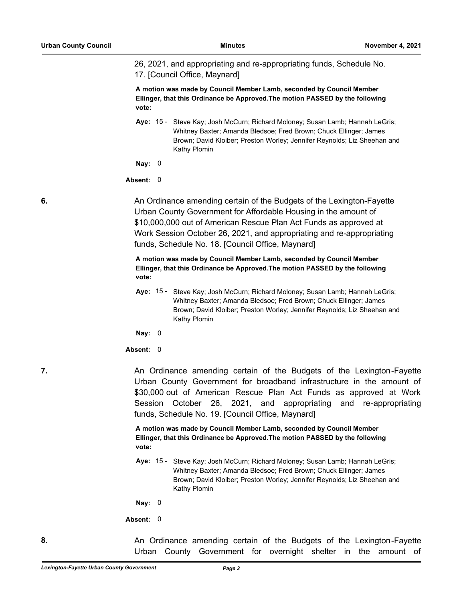26, 2021, and appropriating and re-appropriating funds, Schedule No. 17. [Council Office, Maynard]

**A motion was made by Council Member Lamb, seconded by Council Member Ellinger, that this Ordinance be Approved.The motion PASSED by the following vote:**

Aye: 15 - Steve Kay; Josh McCurn; Richard Moloney; Susan Lamb; Hannah LeGris; Whitney Baxter; Amanda Bledsoe; Fred Brown; Chuck Ellinger; James Brown; David Kloiber; Preston Worley; Jennifer Reynolds; Liz Sheehan and Kathy Plomin

**Nay:** 0

**Absent:** 0

**6.** An Ordinance amending certain of the Budgets of the Lexington-Fayette Urban County Government for Affordable Housing in the amount of \$10,000,000 out of American Rescue Plan Act Funds as approved at Work Session October 26, 2021, and appropriating and re-appropriating funds, Schedule No. 18. [Council Office, Maynard]

> **A motion was made by Council Member Lamb, seconded by Council Member Ellinger, that this Ordinance be Approved.The motion PASSED by the following vote:**

Aye: 15 - Steve Kay; Josh McCurn; Richard Moloney; Susan Lamb; Hannah LeGris; Whitney Baxter; Amanda Bledsoe; Fred Brown; Chuck Ellinger; James Brown; David Kloiber; Preston Worley; Jennifer Reynolds; Liz Sheehan and Kathy Plomin

**Nay:** 0

## **Absent:** 0

**7. An Ordinance amending certain of the Budgets of the Lexington-Fayette** Urban County Government for broadband infrastructure in the amount of \$30,000 out of American Rescue Plan Act Funds as approved at Work Session October 26, 2021, and appropriating and re-appropriating funds, Schedule No. 19. [Council Office, Maynard]

> **A motion was made by Council Member Lamb, seconded by Council Member Ellinger, that this Ordinance be Approved.The motion PASSED by the following vote:**

Aye: 15 - Steve Kay; Josh McCurn; Richard Moloney; Susan Lamb; Hannah LeGris; Whitney Baxter; Amanda Bledsoe; Fred Brown; Chuck Ellinger; James Brown; David Kloiber; Preston Worley; Jennifer Reynolds; Liz Sheehan and Kathy Plomin

**Nay:** 0

**Absent:** 0

**8.** An Ordinance amending certain of the Budgets of the Lexington-Fayette Urban County Government for overnight shelter in the amount of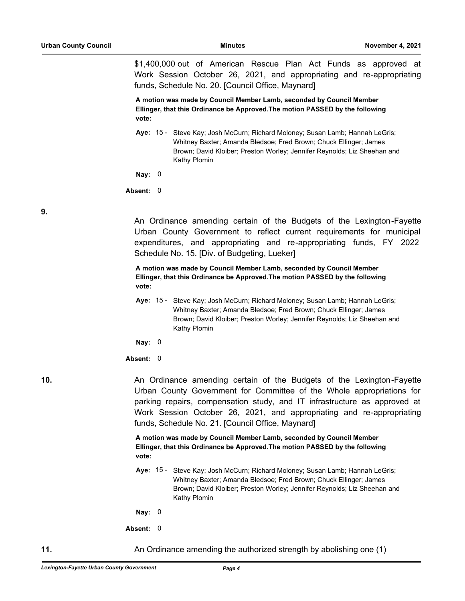\$1,400,000 out of American Rescue Plan Act Funds as approved at Work Session October 26, 2021, and appropriating and re-appropriating funds, Schedule No. 20. [Council Office, Maynard]

**A motion was made by Council Member Lamb, seconded by Council Member Ellinger, that this Ordinance be Approved.The motion PASSED by the following vote:**

Aye: 15 - Steve Kay; Josh McCurn; Richard Moloney; Susan Lamb; Hannah LeGris; Whitney Baxter; Amanda Bledsoe; Fred Brown; Chuck Ellinger; James Brown; David Kloiber; Preston Worley; Jennifer Reynolds; Liz Sheehan and Kathy Plomin

**Nay:** 0

**Absent:** 0

**9.**

An Ordinance amending certain of the Budgets of the Lexington-Fayette Urban County Government to reflect current requirements for municipal expenditures, and appropriating and re-appropriating funds, FY 2022 Schedule No. 15. [Div. of Budgeting, Lueker]

**A motion was made by Council Member Lamb, seconded by Council Member Ellinger, that this Ordinance be Approved.The motion PASSED by the following vote:**

Aye: 15 - Steve Kay; Josh McCurn; Richard Moloney; Susan Lamb; Hannah LeGris; Whitney Baxter; Amanda Bledsoe; Fred Brown; Chuck Ellinger; James Brown; David Kloiber; Preston Worley; Jennifer Reynolds; Liz Sheehan and Kathy Plomin

**Nay:** 0

**Absent:** 0

**10.** An Ordinance amending certain of the Budgets of the Lexington-Fayette Urban County Government for Committee of the Whole appropriations for parking repairs, compensation study, and IT infrastructure as approved at Work Session October 26, 2021, and appropriating and re-appropriating funds, Schedule No. 21. [Council Office, Maynard]

> **A motion was made by Council Member Lamb, seconded by Council Member Ellinger, that this Ordinance be Approved.The motion PASSED by the following vote:**

Aye: 15 - Steve Kay; Josh McCurn; Richard Moloney; Susan Lamb; Hannah LeGris; Whitney Baxter; Amanda Bledsoe; Fred Brown; Chuck Ellinger; James Brown; David Kloiber; Preston Worley; Jennifer Reynolds; Liz Sheehan and Kathy Plomin

**Nay:** 0

**Absent:** 0

**11.** An Ordinance amending the authorized strength by abolishing one (1)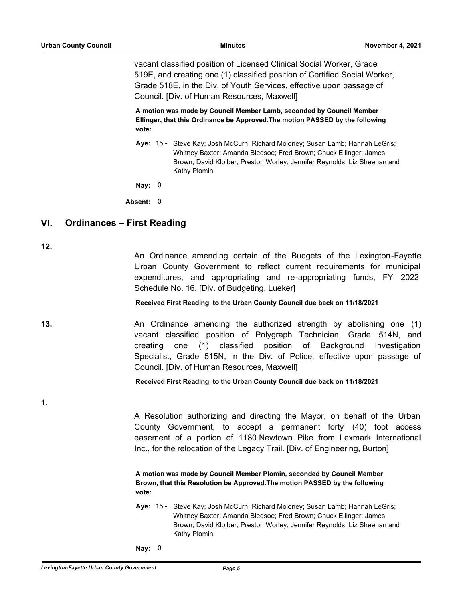vacant classified position of Licensed Clinical Social Worker, Grade 519E, and creating one (1) classified position of Certified Social Worker, Grade 518E, in the Div. of Youth Services, effective upon passage of Council. [Div. of Human Resources, Maxwell]

**A motion was made by Council Member Lamb, seconded by Council Member Ellinger, that this Ordinance be Approved.The motion PASSED by the following vote:**

Aye: 15 - Steve Kay; Josh McCurn; Richard Moloney; Susan Lamb; Hannah LeGris; Whitney Baxter; Amanda Bledsoe; Fred Brown; Chuck Ellinger; James Brown; David Kloiber; Preston Worley; Jennifer Reynolds; Liz Sheehan and Kathy Plomin

**Nay:** 0

**Absent:** 0

# **VI. Ordinances – First Reading**

**12.**

An Ordinance amending certain of the Budgets of the Lexington-Fayette Urban County Government to reflect current requirements for municipal expenditures, and appropriating and re-appropriating funds, FY 2022 Schedule No. 16. [Div. of Budgeting, Lueker]

## **Received First Reading to the Urban County Council due back on 11/18/2021**

**13.** An Ordinance amending the authorized strength by abolishing one (1) vacant classified position of Polygraph Technician, Grade 514N, and creating one (1) classified position of Background Investigation Specialist, Grade 515N, in the Div. of Police, effective upon passage of Council. [Div. of Human Resources, Maxwell]

**Received First Reading to the Urban County Council due back on 11/18/2021**

**1.**

A Resolution authorizing and directing the Mayor, on behalf of the Urban County Government, to accept a permanent forty (40) foot access easement of a portion of 1180 Newtown Pike from Lexmark International Inc., for the relocation of the Legacy Trail. [Div. of Engineering, Burton]

**A motion was made by Council Member Plomin, seconded by Council Member Brown, that this Resolution be Approved.The motion PASSED by the following vote:**

Steve Kay; Josh McCurn; Richard Moloney; Susan Lamb; Hannah LeGris; Whitney Baxter; Amanda Bledsoe; Fred Brown; Chuck Ellinger; James Brown; David Kloiber; Preston Worley; Jennifer Reynolds; Liz Sheehan and Kathy Plomin Ave:  $15 -$ 

**Nay:** 0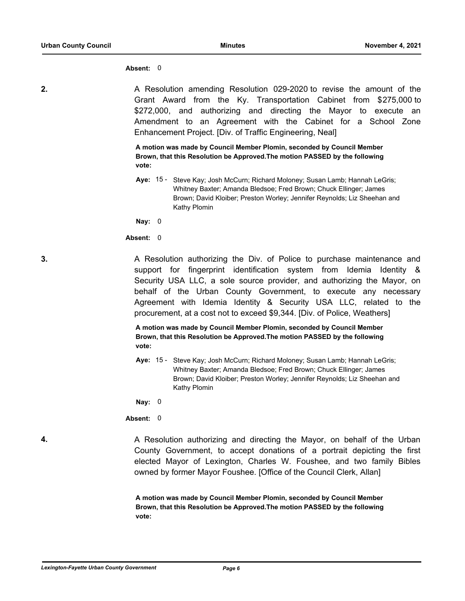### **Absent:** 0

**2. 2.** A Resolution amending Resolution 029-2020 to revise the amount of the Grant Award from the Ky. Transportation Cabinet from \$275,000 to \$272,000, and authorizing and directing the Mayor to execute an Amendment to an Agreement with the Cabinet for a School Zone Enhancement Project. [Div. of Traffic Engineering, Neal]

> **A motion was made by Council Member Plomin, seconded by Council Member Brown, that this Resolution be Approved.The motion PASSED by the following vote:**

Aye: 15 - Steve Kay; Josh McCurn; Richard Moloney; Susan Lamb; Hannah LeGris; Whitney Baxter; Amanda Bledsoe; Fred Brown; Chuck Ellinger; James Brown; David Kloiber; Preston Worley; Jennifer Reynolds; Liz Sheehan and Kathy Plomin

**Nay:** 0

## **Absent:** 0

**3.** A Resolution authorizing the Div. of Police to purchase maintenance and support for fingerprint identification system from Idemia Identity & Security USA LLC, a sole source provider, and authorizing the Mayor, on behalf of the Urban County Government, to execute any necessary Agreement with Idemia Identity & Security USA LLC, related to the procurement, at a cost not to exceed \$9,344. [Div. of Police, Weathers]

> **A motion was made by Council Member Plomin, seconded by Council Member Brown, that this Resolution be Approved.The motion PASSED by the following vote:**

Aye: 15 - Steve Kay; Josh McCurn; Richard Moloney; Susan Lamb; Hannah LeGris; Whitney Baxter; Amanda Bledsoe; Fred Brown; Chuck Ellinger; James Brown; David Kloiber; Preston Worley; Jennifer Reynolds; Liz Sheehan and Kathy Plomin

**Nay:** 0

**Absent:** 0

**4.** A Resolution authorizing and directing the Mayor, on behalf of the Urban County Government, to accept donations of a portrait depicting the first elected Mayor of Lexington, Charles W. Foushee, and two family Bibles owned by former Mayor Foushee. [Office of the Council Clerk, Allan]

> **A motion was made by Council Member Plomin, seconded by Council Member Brown, that this Resolution be Approved.The motion PASSED by the following vote:**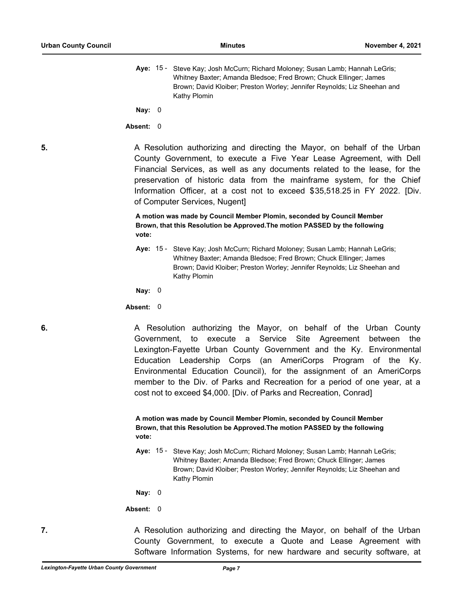**Nay:** 0

**Absent:** 0

**5. A Resolution authorizing and directing the Mayor, on behalf of the Urban** County Government, to execute a Five Year Lease Agreement, with Dell Financial Services, as well as any documents related to the lease, for the preservation of historic data from the mainframe system, for the Chief Information Officer, at a cost not to exceed \$35,518.25 in FY 2022. [Div. of Computer Services, Nugent]

> **A motion was made by Council Member Plomin, seconded by Council Member Brown, that this Resolution be Approved.The motion PASSED by the following vote:**

Aye: 15 - Steve Kay; Josh McCurn; Richard Moloney; Susan Lamb; Hannah LeGris; Whitney Baxter; Amanda Bledsoe; Fred Brown; Chuck Ellinger; James Brown; David Kloiber; Preston Worley; Jennifer Reynolds; Liz Sheehan and Kathy Plomin

**Nay:** 0

**Absent:** 0

**6. 6. A Resolution authorizing the Mayor, on behalf of the Urban County** Government, to execute a Service Site Agreement between the Lexington-Fayette Urban County Government and the Ky. Environmental Education Leadership Corps (an AmeriCorps Program of the Ky. Environmental Education Council), for the assignment of an AmeriCorps member to the Div. of Parks and Recreation for a period of one year, at a cost not to exceed \$4,000. [Div. of Parks and Recreation, Conrad]

> **A motion was made by Council Member Plomin, seconded by Council Member Brown, that this Resolution be Approved.The motion PASSED by the following vote:**

Aye: 15 - Steve Kay; Josh McCurn; Richard Moloney; Susan Lamb; Hannah LeGris; Whitney Baxter; Amanda Bledsoe; Fred Brown; Chuck Ellinger; James Brown; David Kloiber; Preston Worley; Jennifer Reynolds; Liz Sheehan and Kathy Plomin

**Nay:** 0

**Absent:** 0

**7. A Resolution authorizing and directing the Mayor, on behalf of the Urban** County Government, to execute a Quote and Lease Agreement with Software Information Systems, for new hardware and security software, at

Aye: 15 - Steve Kay; Josh McCurn; Richard Moloney; Susan Lamb; Hannah LeGris; Whitney Baxter; Amanda Bledsoe; Fred Brown; Chuck Ellinger; James Brown; David Kloiber; Preston Worley; Jennifer Reynolds; Liz Sheehan and Kathy Plomin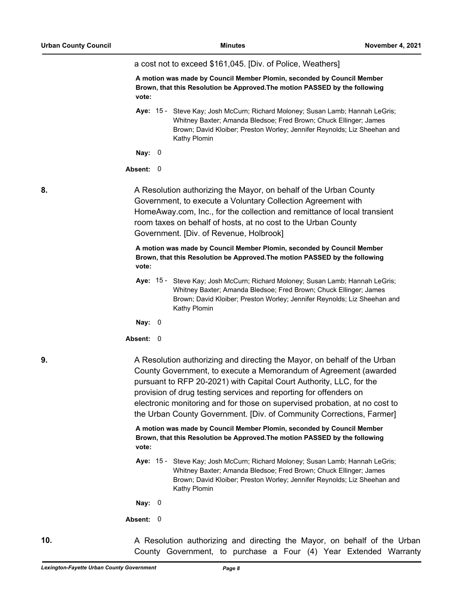a cost not to exceed \$161,045. [Div. of Police, Weathers]

**A motion was made by Council Member Plomin, seconded by Council Member Brown, that this Resolution be Approved.The motion PASSED by the following vote:**

Steve Kay; Josh McCurn; Richard Moloney; Susan Lamb; Hannah LeGris; Whitney Baxter; Amanda Bledsoe; Fred Brown; Chuck Ellinger; James Brown; David Kloiber; Preston Worley; Jennifer Reynolds; Liz Sheehan and Kathy Plomin Aye:  $15 -$ 

**Nay:** 0

#### **Absent:** 0

**8.** A Resolution authorizing the Mayor, on behalf of the Urban County Government, to execute a Voluntary Collection Agreement with HomeAway.com, Inc., for the collection and remittance of local transient room taxes on behalf of hosts, at no cost to the Urban County Government. [Div. of Revenue, Holbrook]

> **A motion was made by Council Member Plomin, seconded by Council Member Brown, that this Resolution be Approved.The motion PASSED by the following vote:**

Aye: 15 - Steve Kay; Josh McCurn; Richard Moloney; Susan Lamb; Hannah LeGris; Whitney Baxter; Amanda Bledsoe; Fred Brown; Chuck Ellinger; James Brown; David Kloiber; Preston Worley; Jennifer Reynolds; Liz Sheehan and Kathy Plomin

**Nay:** 0

**Absent:** 0

**9.** A Resolution authorizing and directing the Mayor, on behalf of the Urban County Government, to execute a Memorandum of Agreement (awarded pursuant to RFP 20-2021) with Capital Court Authority, LLC, for the provision of drug testing services and reporting for offenders on electronic monitoring and for those on supervised probation, at no cost to the Urban County Government. [Div. of Community Corrections, Farmer]

> **A motion was made by Council Member Plomin, seconded by Council Member Brown, that this Resolution be Approved.The motion PASSED by the following vote:**

Aye: 15 - Steve Kay; Josh McCurn; Richard Moloney; Susan Lamb; Hannah LeGris; Whitney Baxter; Amanda Bledsoe; Fred Brown; Chuck Ellinger; James Brown; David Kloiber; Preston Worley; Jennifer Reynolds; Liz Sheehan and Kathy Plomin

**Nay:** 0

**Absent:** 0

**10. A** Resolution authorizing and directing the Mayor, on behalf of the Urban County Government, to purchase a Four (4) Year Extended Warranty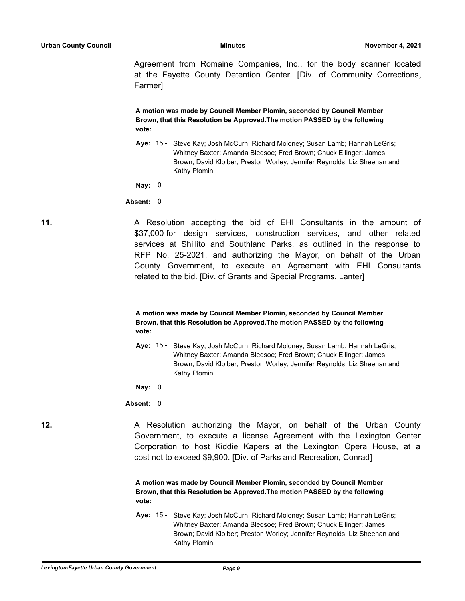Agreement from Romaine Companies, Inc., for the body scanner located at the Fayette County Detention Center. [Div. of Community Corrections, Farmer]

**A motion was made by Council Member Plomin, seconded by Council Member Brown, that this Resolution be Approved.The motion PASSED by the following vote:**

Aye: 15 - Steve Kay; Josh McCurn; Richard Moloney; Susan Lamb; Hannah LeGris; Whitney Baxter; Amanda Bledsoe; Fred Brown; Chuck Ellinger; James Brown; David Kloiber; Preston Worley; Jennifer Reynolds; Liz Sheehan and Kathy Plomin

**Nay:** 0

**Absent:** 0

**11.** A Resolution accepting the bid of EHI Consultants in the amount of \$37,000 for design services, construction services, and other related services at Shillito and Southland Parks, as outlined in the response to RFP No. 25-2021, and authorizing the Mayor, on behalf of the Urban County Government, to execute an Agreement with EHI Consultants related to the bid. [Div. of Grants and Special Programs, Lanter]

# **A motion was made by Council Member Plomin, seconded by Council Member Brown, that this Resolution be Approved.The motion PASSED by the following vote:**

Aye: 15 - Steve Kay; Josh McCurn; Richard Moloney; Susan Lamb; Hannah LeGris; Whitney Baxter; Amanda Bledsoe; Fred Brown; Chuck Ellinger; James Brown; David Kloiber; Preston Worley; Jennifer Reynolds; Liz Sheehan and Kathy Plomin

**Nay:** 0

**Absent:** 0

**12.** A Resolution authorizing the Mayor, on behalf of the Urban County Government, to execute a license Agreement with the Lexington Center Corporation to host Kiddie Kapers at the Lexington Opera House, at a cost not to exceed \$9,900. [Div. of Parks and Recreation, Conrad]

> **A motion was made by Council Member Plomin, seconded by Council Member Brown, that this Resolution be Approved.The motion PASSED by the following vote:**

Aye: 15 - Steve Kay; Josh McCurn; Richard Moloney; Susan Lamb; Hannah LeGris; Whitney Baxter; Amanda Bledsoe; Fred Brown; Chuck Ellinger; James Brown; David Kloiber; Preston Worley; Jennifer Reynolds; Liz Sheehan and Kathy Plomin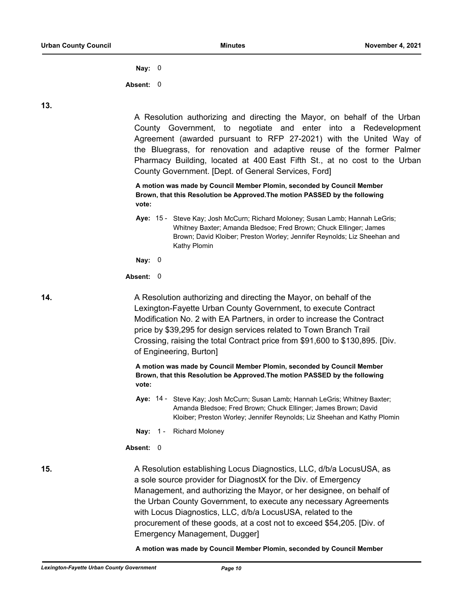**Nay:** 0

**Absent:** 0

**13.**

A Resolution authorizing and directing the Mayor, on behalf of the Urban County Government, to negotiate and enter into a Redevelopment Agreement (awarded pursuant to RFP 27-2021) with the United Way of the Bluegrass, for renovation and adaptive reuse of the former Palmer Pharmacy Building, located at 400 East Fifth St., at no cost to the Urban County Government. [Dept. of General Services, Ford]

**A motion was made by Council Member Plomin, seconded by Council Member Brown, that this Resolution be Approved.The motion PASSED by the following vote:**

Aye: 15 - Steve Kay; Josh McCurn; Richard Moloney; Susan Lamb; Hannah LeGris; Whitney Baxter; Amanda Bledsoe; Fred Brown; Chuck Ellinger; James Brown; David Kloiber; Preston Worley; Jennifer Reynolds; Liz Sheehan and Kathy Plomin

**Nay:** 0

**Absent:** 0

**14.** A Resolution authorizing and directing the Mayor, on behalf of the Lexington-Fayette Urban County Government, to execute Contract Modification No. 2 with EA Partners, in order to increase the Contract price by \$39,295 for design services related to Town Branch Trail Crossing, raising the total Contract price from \$91,600 to \$130,895. [Div. of Engineering, Burton]

> **A motion was made by Council Member Plomin, seconded by Council Member Brown, that this Resolution be Approved.The motion PASSED by the following vote:**

- Aye: 14 Steve Kay; Josh McCurn; Susan Lamb; Hannah LeGris; Whitney Baxter; Amanda Bledsoe; Fred Brown; Chuck Ellinger; James Brown; David Kloiber; Preston Worley; Jennifer Reynolds; Liz Sheehan and Kathy Plomin
- **Nay:** 1 Richard Moloney

## **Absent:** 0

**15.** A Resolution establishing Locus Diagnostics, LLC, d/b/a LocusUSA, as a sole source provider for DiagnostX for the Div. of Emergency Management, and authorizing the Mayor, or her designee, on behalf of the Urban County Government, to execute any necessary Agreements with Locus Diagnostics, LLC, d/b/a LocusUSA, related to the procurement of these goods, at a cost not to exceed \$54,205. [Div. of Emergency Management, Dugger]

**A motion was made by Council Member Plomin, seconded by Council Member**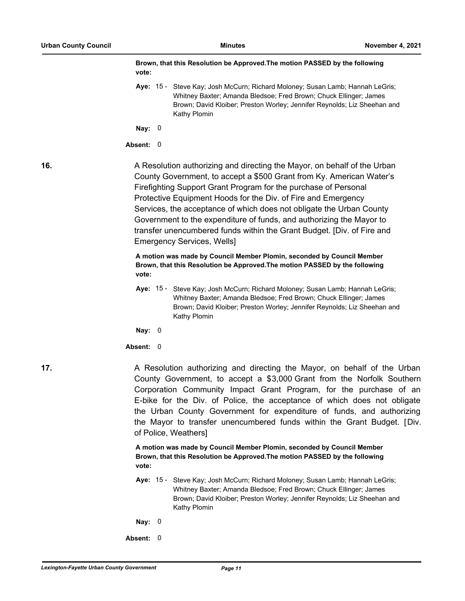|     | Brown, that this Resolution be Approved. The motion PASSED by the following<br>vote:                                                                                                                                                                                                                                                                                                                                                                                                                                                                |
|-----|-----------------------------------------------------------------------------------------------------------------------------------------------------------------------------------------------------------------------------------------------------------------------------------------------------------------------------------------------------------------------------------------------------------------------------------------------------------------------------------------------------------------------------------------------------|
|     | Aye: 15 - Steve Kay; Josh McCurn; Richard Moloney; Susan Lamb; Hannah LeGris;<br>Whitney Baxter; Amanda Bledsoe; Fred Brown; Chuck Ellinger; James<br>Brown; David Kloiber; Preston Worley; Jennifer Reynolds; Liz Sheehan and<br>Kathy Plomin                                                                                                                                                                                                                                                                                                      |
|     | Nay: $0$                                                                                                                                                                                                                                                                                                                                                                                                                                                                                                                                            |
|     | Absent: 0                                                                                                                                                                                                                                                                                                                                                                                                                                                                                                                                           |
| 16. | A Resolution authorizing and directing the Mayor, on behalf of the Urban<br>County Government, to accept a \$500 Grant from Ky. American Water's<br>Firefighting Support Grant Program for the purchase of Personal<br>Protective Equipment Hoods for the Div. of Fire and Emergency<br>Services, the acceptance of which does not obligate the Urban County<br>Government to the expenditure of funds, and authorizing the Mayor to<br>transfer unencumbered funds within the Grant Budget. [Div. of Fire and<br><b>Emergency Services, Wells]</b> |
|     | A motion was made by Council Member Plomin, seconded by Council Member<br>Brown, that this Resolution be Approved. The motion PASSED by the following<br>vote:                                                                                                                                                                                                                                                                                                                                                                                      |
|     | Aye: 15 - Steve Kay; Josh McCurn; Richard Moloney; Susan Lamb; Hannah LeGris;<br>Whitney Baxter; Amanda Bledsoe; Fred Brown; Chuck Ellinger; James<br>Brown; David Kloiber; Preston Worley; Jennifer Reynolds; Liz Sheehan and<br>Kathy Plomin                                                                                                                                                                                                                                                                                                      |
|     | Nay: $0$                                                                                                                                                                                                                                                                                                                                                                                                                                                                                                                                            |
|     | Absent: 0                                                                                                                                                                                                                                                                                                                                                                                                                                                                                                                                           |
| 17. | A Resolution authorizing and directing the Mayor, on behalf of the Urban<br>County Government, to accept a \$3,000 Grant from the Norfolk Southern<br>Corporation Community Impact Grant Program, for the purchase of an<br>E-bike for the Div. of Police, the acceptance of which does not obligate<br>the Urban County Government for expenditure of funds, and authorizing<br>the Mayor to transfer unencumbered funds within the Grant Budget. [Div.<br>of Police, Weathers]                                                                    |
|     | A motion was made by Council Member Plomin, seconded by Council Member<br>Brown, that this Resolution be Approved. The motion PASSED by the following<br>vote:                                                                                                                                                                                                                                                                                                                                                                                      |
|     | Aye: 15 - Steve Kay; Josh McCurn; Richard Moloney; Susan Lamb; Hannah LeGris;<br>Whitney Baxter; Amanda Bledsoe; Fred Brown; Chuck Ellinger; James<br>Brown; David Kloiber; Preston Worley; Jennifer Reynolds; Liz Sheehan and<br>Kathy Plomin                                                                                                                                                                                                                                                                                                      |
|     | Nay: $0$                                                                                                                                                                                                                                                                                                                                                                                                                                                                                                                                            |

**Absent:** 0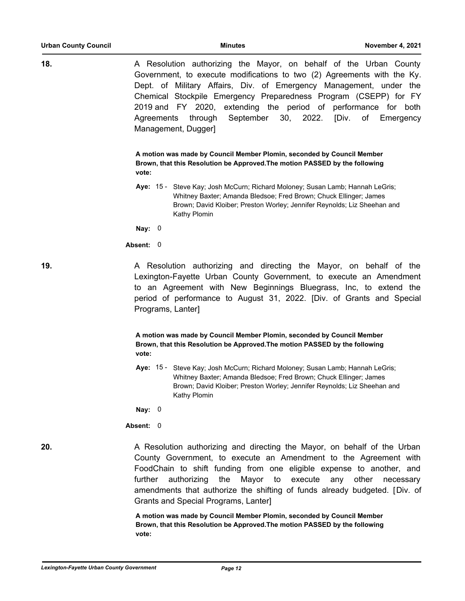| <b>Urban County Council</b> | <b>Minutes</b>                                                                                                                                                                                                                                                                                                                                                                                                                           | November 4, 2021   |
|-----------------------------|------------------------------------------------------------------------------------------------------------------------------------------------------------------------------------------------------------------------------------------------------------------------------------------------------------------------------------------------------------------------------------------------------------------------------------------|--------------------|
| 18.                         | A Resolution authorizing the Mayor, on behalf of the Urban County<br>Government, to execute modifications to two (2) Agreements with the Ky.<br>Dept. of Military Affairs, Div. of Emergency Management, under the<br>Chemical Stockpile Emergency Preparedness Program (CSEPP) for FY<br>2019 and FY 2020, extending the period of performance for both<br>30, 2022. [Div.<br>September<br>Agreements<br>through<br>Management, Dugger] | of Emergency       |
|                             | A motion was made by Council Member Plomin, seconded by Council Member<br>Brown, that this Resolution be Approved. The motion PASSED by the following<br>vote:                                                                                                                                                                                                                                                                           |                    |
|                             | Aye: 15 - Steve Kay; Josh McCurn; Richard Moloney; Susan Lamb; Hannah LeGris;<br>Whitney Baxter; Amanda Bledsoe; Fred Brown; Chuck Ellinger; James<br>Brown; David Kloiber; Preston Worley; Jennifer Reynolds; Liz Sheehan and<br>Kathy Plomin                                                                                                                                                                                           |                    |
|                             | Nay: $0$                                                                                                                                                                                                                                                                                                                                                                                                                                 |                    |
|                             | Absent: 0                                                                                                                                                                                                                                                                                                                                                                                                                                |                    |
| 19.                         | A Resolution authorizing and directing the Mayor, on behalf of the<br>Lexington-Fayette Urban County Government, to execute an Amendment<br>to an Agreement with New Beginnings Bluegrass, Inc, to extend the<br>period of performance to August 31, 2022. [Div. of Grants and Special<br>Programs, Lanter]                                                                                                                              |                    |
|                             | A motion was made by Council Member Plomin, seconded by Council Member<br>Brown, that this Resolution be Approved. The motion PASSED by the following<br>vote:                                                                                                                                                                                                                                                                           |                    |
|                             | Aye: 15 - Steve Kay; Josh McCurn; Richard Moloney; Susan Lamb; Hannah LeGris;<br>Whitney Baxter; Amanda Bledsoe; Fred Brown; Chuck Ellinger; James<br>Brown; David Kloiber; Preston Worley; Jennifer Reynolds; Liz Sheehan and<br>Kathy Plomin                                                                                                                                                                                           |                    |
|                             | Nay: $0$                                                                                                                                                                                                                                                                                                                                                                                                                                 |                    |
|                             | Absent: 0                                                                                                                                                                                                                                                                                                                                                                                                                                |                    |
| 20.                         | A Resolution authorizing and directing the Mayor, on behalf of the Urban<br>County Government, to execute an Amendment to the Agreement with<br>FoodChain to shift funding from one eligible expense to another, and<br>further<br>authorizing<br>Mayor<br>the<br>to<br>execute<br>any<br>amendments that authorize the shifting of funds already budgeted. [Div. of<br>Grants and Special Programs, Lanter]                             | other<br>necessary |
|                             | A motion was made by Council Member Plomin, seconded by Council Member<br>Brown, that this Resolution be Approved. The motion PASSED by the following<br>vote:                                                                                                                                                                                                                                                                           |                    |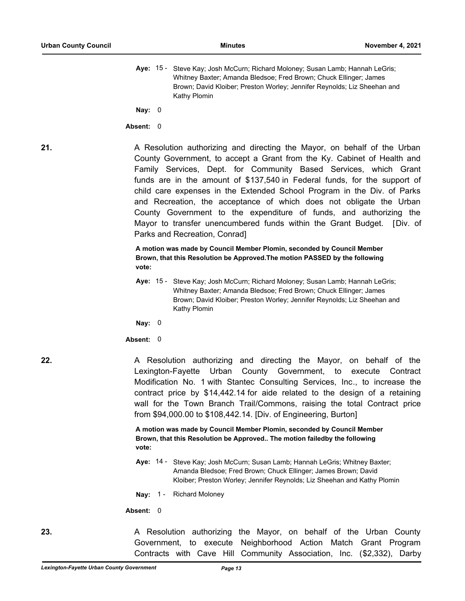Aye: 15 - Steve Kay; Josh McCurn; Richard Moloney; Susan Lamb; Hannah LeGris; Whitney Baxter; Amanda Bledsoe; Fred Brown; Chuck Ellinger; James Brown; David Kloiber; Preston Worley; Jennifer Reynolds; Liz Sheehan and Kathy Plomin

**Nay:** 0

**Absent:** 0

**21.** A Resolution authorizing and directing the Mayor, on behalf of the Urban County Government, to accept a Grant from the Ky. Cabinet of Health and Family Services, Dept. for Community Based Services, which Grant funds are in the amount of \$137,540 in Federal funds, for the support of child care expenses in the Extended School Program in the Div. of Parks and Recreation, the acceptance of which does not obligate the Urban County Government to the expenditure of funds, and authorizing the Mayor to transfer unencumbered funds within the Grant Budget. [Div. of Parks and Recreation, Conrad]

> **A motion was made by Council Member Plomin, seconded by Council Member Brown, that this Resolution be Approved.The motion PASSED by the following vote:**

**Aye:** Steve Kay; Josh McCurn; Richard Moloney; Susan Lamb; Hannah LeGris; Whitney Baxter; Amanda Bledsoe; Fred Brown; Chuck Ellinger; James Brown; David Kloiber; Preston Worley; Jennifer Reynolds; Liz Sheehan and Kathy Plomin Aye:  $15 -$ 

**Nay:** 0

**Absent:** 0

**22.** A Resolution authorizing and directing the Mayor, on behalf of the Lexington-Fayette Urban County Government, to execute Contract Modification No. 1 with Stantec Consulting Services, Inc., to increase the contract price by \$14,442.14 for aide related to the design of a retaining wall for the Town Branch Trail/Commons, raising the total Contract price from \$94,000.00 to \$108,442.14. [Div. of Engineering, Burton]

> **A motion was made by Council Member Plomin, seconded by Council Member Brown, that this Resolution be Approved.. The motion failedby the following vote:**

- Aye: 14 Steve Kay; Josh McCurn; Susan Lamb; Hannah LeGris; Whitney Baxter; Amanda Bledsoe; Fred Brown; Chuck Ellinger; James Brown; David Kloiber; Preston Worley; Jennifer Reynolds; Liz Sheehan and Kathy Plomin
- **Nay:** 1 Richard Moloney

**Absent:** 0

**23.** A Resolution authorizing the Mayor, on behalf of the Urban County Government, to execute Neighborhood Action Match Grant Program Contracts with Cave Hill Community Association, Inc. (\$2,332), Darby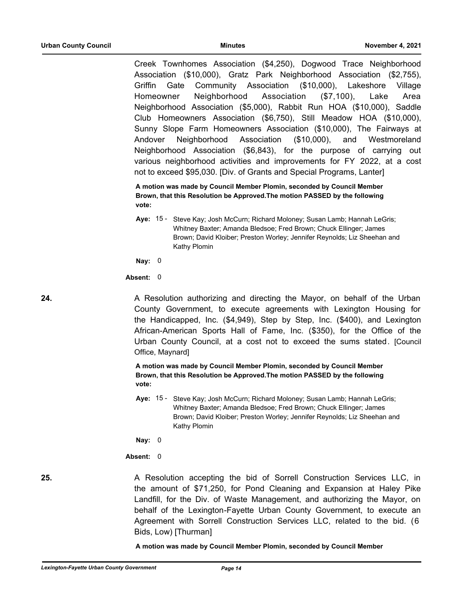Creek Townhomes Association (\$4,250), Dogwood Trace Neighborhood Association (\$10,000), Gratz Park Neighborhood Association (\$2,755), Griffin Gate Community Association (\$10,000), Lakeshore Village Homeowner Neighborhood Association (\$7,100), Lake Area Neighborhood Association (\$5,000), Rabbit Run HOA (\$10,000), Saddle Club Homeowners Association (\$6,750), Still Meadow HOA (\$10,000), Sunny Slope Farm Homeowners Association (\$10,000), The Fairways at Andover Neighborhood Association (\$10,000), and Westmoreland Neighborhood Association (\$6,843), for the purpose of carrying out various neighborhood activities and improvements for FY 2022, at a cost not to exceed \$95,030. [Div. of Grants and Special Programs, Lanter]

**A motion was made by Council Member Plomin, seconded by Council Member Brown, that this Resolution be Approved.The motion PASSED by the following vote:**

Aye: 15 - Steve Kay; Josh McCurn; Richard Moloney; Susan Lamb; Hannah LeGris; Whitney Baxter; Amanda Bledsoe; Fred Brown; Chuck Ellinger; James Brown; David Kloiber; Preston Worley; Jennifer Reynolds; Liz Sheehan and Kathy Plomin

**Nay:** 0

**Absent:** 0

**24.** A Resolution authorizing and directing the Mayor, on behalf of the Urban County Government, to execute agreements with Lexington Housing for the Handicapped, Inc. (\$4,949), Step by Step, Inc. (\$400), and Lexington African-American Sports Hall of Fame, Inc. (\$350), for the Office of the Urban County Council, at a cost not to exceed the sums stated. [Council Office, Maynard]

> **A motion was made by Council Member Plomin, seconded by Council Member Brown, that this Resolution be Approved.The motion PASSED by the following vote:**

Aye: 15 - Steve Kay; Josh McCurn; Richard Moloney; Susan Lamb; Hannah LeGris; Whitney Baxter; Amanda Bledsoe; Fred Brown; Chuck Ellinger; James Brown; David Kloiber; Preston Worley; Jennifer Reynolds; Liz Sheehan and Kathy Plomin

**Nay:** 0

## **Absent:** 0

**25.** A Resolution accepting the bid of Sorrell Construction Services LLC, in the amount of \$71,250, for Pond Cleaning and Expansion at Haley Pike Landfill, for the Div. of Waste Management, and authorizing the Mayor, on behalf of the Lexington-Fayette Urban County Government, to execute an Agreement with Sorrell Construction Services LLC, related to the bid. (6 Bids, Low) [Thurman]

**A motion was made by Council Member Plomin, seconded by Council Member**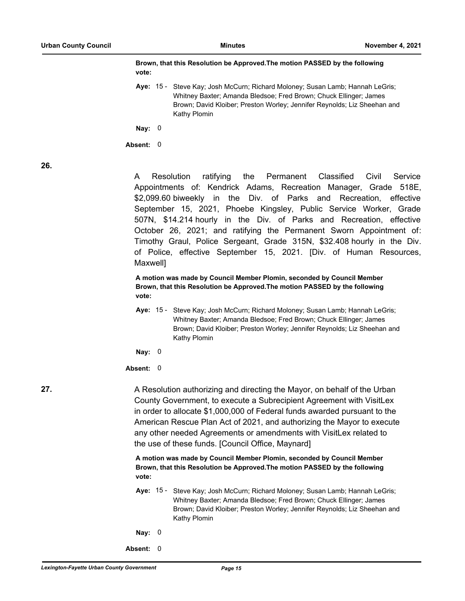### **Brown, that this Resolution be Approved.The motion PASSED by the following vote:**

Aye: 15 - Steve Kay; Josh McCurn; Richard Moloney; Susan Lamb; Hannah LeGris; Whitney Baxter; Amanda Bledsoe; Fred Brown; Chuck Ellinger; James Brown; David Kloiber; Preston Worley; Jennifer Reynolds; Liz Sheehan and Kathy Plomin

**Nay:** 0

**Absent:** 0

**26.**

A Resolution ratifying the Permanent Classified Civil Service Appointments of: Kendrick Adams, Recreation Manager, Grade 518E, \$2,099.60 biweekly in the Div. of Parks and Recreation, effective September 15, 2021, Phoebe Kingsley, Public Service Worker, Grade 507N, \$14.214 hourly in the Div. of Parks and Recreation, effective October 26, 2021; and ratifying the Permanent Sworn Appointment of: Timothy Graul, Police Sergeant, Grade 315N, \$32.408 hourly in the Div. of Police, effective September 15, 2021. [Div. of Human Resources, Maxwell]

**A motion was made by Council Member Plomin, seconded by Council Member Brown, that this Resolution be Approved.The motion PASSED by the following vote:**

- Aye: 15 Steve Kay; Josh McCurn; Richard Moloney; Susan Lamb; Hannah LeGris; Whitney Baxter; Amanda Bledsoe; Fred Brown; Chuck Ellinger; James Brown; David Kloiber; Preston Worley; Jennifer Reynolds; Liz Sheehan and Kathy Plomin
- **Nay:** 0

### **Absent:** 0

**27.** A Resolution authorizing and directing the Mayor, on behalf of the Urban County Government, to execute a Subrecipient Agreement with VisitLex in order to allocate \$1,000,000 of Federal funds awarded pursuant to the American Rescue Plan Act of 2021, and authorizing the Mayor to execute any other needed Agreements or amendments with VisitLex related to the use of these funds. [Council Office, Maynard]

> **A motion was made by Council Member Plomin, seconded by Council Member Brown, that this Resolution be Approved.The motion PASSED by the following vote:**

Aye: 15 - Steve Kay; Josh McCurn; Richard Moloney; Susan Lamb; Hannah LeGris; Whitney Baxter; Amanda Bledsoe; Fred Brown; Chuck Ellinger; James Brown; David Kloiber; Preston Worley; Jennifer Reynolds; Liz Sheehan and Kathy Plomin

- **Nay:** 0
- **Absent:** 0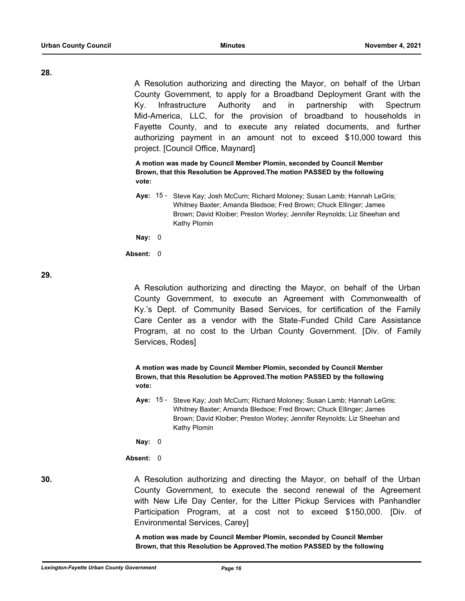**28.**

A Resolution authorizing and directing the Mayor, on behalf of the Urban County Government, to apply for a Broadband Deployment Grant with the Ky. Infrastructure Authority and in partnership with Spectrum Mid-America, LLC, for the provision of broadband to households in Fayette County, and to execute any related documents, and further authorizing payment in an amount not to exceed \$10,000 toward this project. [Council Office, Maynard]

**A motion was made by Council Member Plomin, seconded by Council Member Brown, that this Resolution be Approved.The motion PASSED by the following vote:**

Aye: 15 - Steve Kay; Josh McCurn; Richard Moloney; Susan Lamb; Hannah LeGris; Whitney Baxter; Amanda Bledsoe; Fred Brown; Chuck Ellinger; James Brown; David Kloiber; Preston Worley; Jennifer Reynolds; Liz Sheehan and Kathy Plomin

**Nay:** 0

**Absent:** 0

**29.**

A Resolution authorizing and directing the Mayor, on behalf of the Urban County Government, to execute an Agreement with Commonwealth of Ky.'s Dept. of Community Based Services, for certification of the Family Care Center as a vendor with the State-Funded Child Care Assistance Program, at no cost to the Urban County Government. [Div. of Family Services, Rodes]

**A motion was made by Council Member Plomin, seconded by Council Member Brown, that this Resolution be Approved.The motion PASSED by the following vote:**

Aye: 15 - Steve Kay; Josh McCurn; Richard Moloney; Susan Lamb; Hannah LeGris; Whitney Baxter; Amanda Bledsoe; Fred Brown; Chuck Ellinger; James Brown; David Kloiber; Preston Worley; Jennifer Reynolds; Liz Sheehan and Kathy Plomin

**Nay:** 0

**Absent:** 0

**30.** A Resolution authorizing and directing the Mayor, on behalf of the Urban County Government, to execute the second renewal of the Agreement with New Life Day Center, for the Litter Pickup Services with Panhandler Participation Program, at a cost not to exceed \$150,000. [Div. of Environmental Services, Carey]

> **A motion was made by Council Member Plomin, seconded by Council Member Brown, that this Resolution be Approved.The motion PASSED by the following**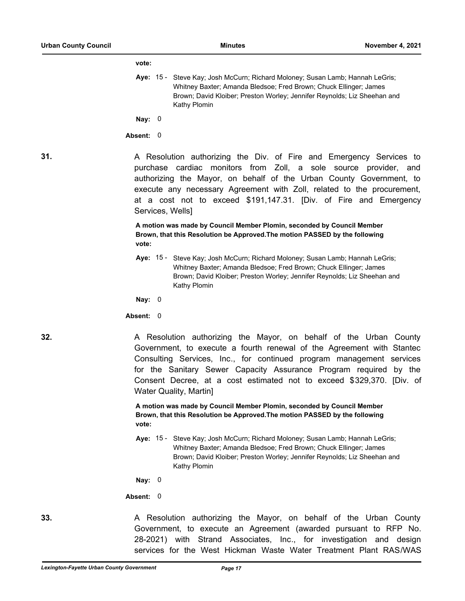#### **vote:**

Aye: 15 - Steve Kay; Josh McCurn; Richard Moloney; Susan Lamb; Hannah LeGris; Whitney Baxter; Amanda Bledsoe; Fred Brown; Chuck Ellinger; James Brown; David Kloiber; Preston Worley; Jennifer Reynolds; Liz Sheehan and Kathy Plomin

**Nay:** 0

#### **Absent:** 0

**31.** A Resolution authorizing the Div. of Fire and Emergency Services to purchase cardiac monitors from Zoll, a sole source provider, and authorizing the Mayor, on behalf of the Urban County Government, to execute any necessary Agreement with Zoll, related to the procurement, at a cost not to exceed \$191,147.31. [Div. of Fire and Emergency Services, Wells]

> **A motion was made by Council Member Plomin, seconded by Council Member Brown, that this Resolution be Approved.The motion PASSED by the following vote:**

Aye: 15 - Steve Kay; Josh McCurn; Richard Moloney; Susan Lamb; Hannah LeGris; Whitney Baxter; Amanda Bledsoe; Fred Brown; Chuck Ellinger; James Brown; David Kloiber; Preston Worley; Jennifer Reynolds; Liz Sheehan and Kathy Plomin

**Nay:** 0

#### **Absent:** 0

**32.** A Resolution authorizing the Mayor, on behalf of the Urban County Government, to execute a fourth renewal of the Agreement with Stantec Consulting Services, Inc., for continued program management services for the Sanitary Sewer Capacity Assurance Program required by the Consent Decree, at a cost estimated not to exceed \$329,370. [Div. of Water Quality, Martin]

> **A motion was made by Council Member Plomin, seconded by Council Member Brown, that this Resolution be Approved.The motion PASSED by the following vote:**

Aye: 15 - Steve Kay; Josh McCurn; Richard Moloney; Susan Lamb; Hannah LeGris; Whitney Baxter; Amanda Bledsoe; Fred Brown; Chuck Ellinger; James Brown; David Kloiber; Preston Worley; Jennifer Reynolds; Liz Sheehan and Kathy Plomin

**Nay:** 0

**Absent:** 0

**33.** A Resolution authorizing the Mayor, on behalf of the Urban County Government, to execute an Agreement (awarded pursuant to RFP No. 28-2021) with Strand Associates, Inc., for investigation and design services for the West Hickman Waste Water Treatment Plant RAS/WAS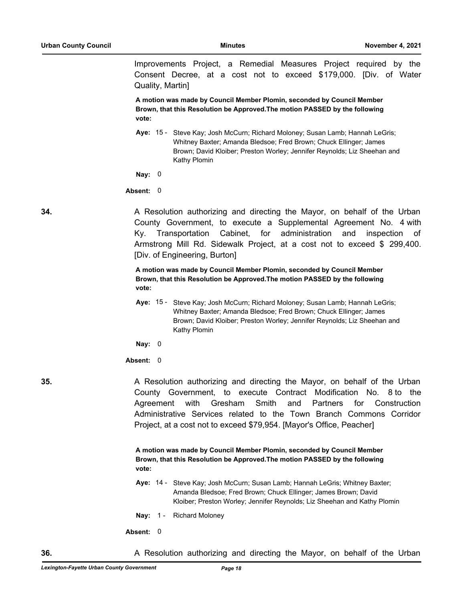Improvements Project, a Remedial Measures Project required by the Consent Decree, at a cost not to exceed \$179,000. [Div. of Water Quality, Martin]

**A motion was made by Council Member Plomin, seconded by Council Member Brown, that this Resolution be Approved.The motion PASSED by the following vote:**

Aye: 15 - Steve Kay; Josh McCurn; Richard Moloney; Susan Lamb; Hannah LeGris; Whitney Baxter; Amanda Bledsoe; Fred Brown; Chuck Ellinger; James Brown; David Kloiber; Preston Worley; Jennifer Reynolds; Liz Sheehan and Kathy Plomin

**Nay:** 0

### **Absent:** 0

**34.** A Resolution authorizing and directing the Mayor, on behalf of the Urban County Government, to execute a Supplemental Agreement No. 4 with Ky. Transportation Cabinet, for administration and inspection of Armstrong Mill Rd. Sidewalk Project, at a cost not to exceed \$ 299,400. [Div. of Engineering, Burton]

> **A motion was made by Council Member Plomin, seconded by Council Member Brown, that this Resolution be Approved.The motion PASSED by the following vote:**

Aye: 15 - Steve Kay; Josh McCurn; Richard Moloney; Susan Lamb; Hannah LeGris; Whitney Baxter; Amanda Bledsoe; Fred Brown; Chuck Ellinger; James Brown; David Kloiber; Preston Worley; Jennifer Reynolds; Liz Sheehan and Kathy Plomin

**Nay:** 0

**Absent:** 0

**35.** A Resolution authorizing and directing the Mayor, on behalf of the Urban County Government, to execute Contract Modification No. 8 to the Agreement with Gresham Smith and Partners for Construction Administrative Services related to the Town Branch Commons Corridor Project, at a cost not to exceed \$79,954. [Mayor's Office, Peacher]

> **A motion was made by Council Member Plomin, seconded by Council Member Brown, that this Resolution be Approved.The motion PASSED by the following vote:**

Aye: 14 - Steve Kay; Josh McCurn; Susan Lamb; Hannah LeGris; Whitney Baxter; Amanda Bledsoe; Fred Brown; Chuck Ellinger; James Brown; David Kloiber; Preston Worley; Jennifer Reynolds; Liz Sheehan and Kathy Plomin

**Nay:** 1 - Richard Moloney

**Absent:** 0

**36.** A Resolution authorizing and directing the Mayor, on behalf of the Urban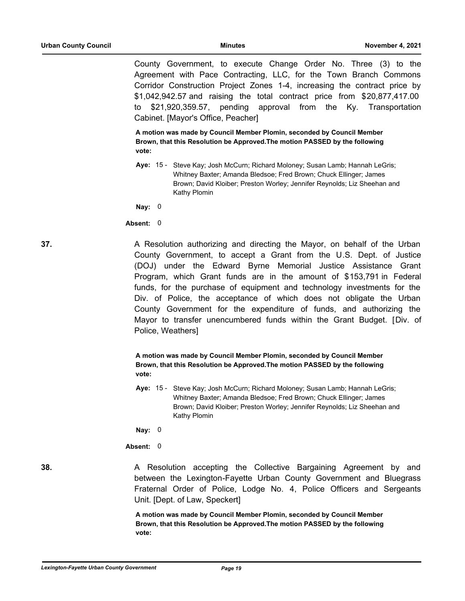County Government, to execute Change Order No. Three (3) to the Agreement with Pace Contracting, LLC, for the Town Branch Commons Corridor Construction Project Zones 1-4, increasing the contract price by \$1,042,942.57 and raising the total contract price from \$20,877,417.00 to \$21,920,359.57, pending approval from the Ky. Transportation Cabinet. [Mayor's Office, Peacher]

**A motion was made by Council Member Plomin, seconded by Council Member Brown, that this Resolution be Approved.The motion PASSED by the following vote:**

Aye: 15 - Steve Kay; Josh McCurn; Richard Moloney; Susan Lamb; Hannah LeGris; Whitney Baxter; Amanda Bledsoe; Fred Brown; Chuck Ellinger; James Brown; David Kloiber; Preston Worley; Jennifer Reynolds; Liz Sheehan and Kathy Plomin

**Nay:** 0

#### **Absent:** 0

**37.** A Resolution authorizing and directing the Mayor, on behalf of the Urban County Government, to accept a Grant from the U.S. Dept. of Justice (DOJ) under the Edward Byrne Memorial Justice Assistance Grant Program, which Grant funds are in the amount of \$153,791 in Federal funds, for the purchase of equipment and technology investments for the Div. of Police, the acceptance of which does not obligate the Urban County Government for the expenditure of funds, and authorizing the Mayor to transfer unencumbered funds within the Grant Budget. [Div. of Police, Weathers]

# **A motion was made by Council Member Plomin, seconded by Council Member Brown, that this Resolution be Approved.The motion PASSED by the following vote:**

Aye: 15 - Steve Kay; Josh McCurn; Richard Moloney; Susan Lamb; Hannah LeGris; Whitney Baxter; Amanda Bledsoe; Fred Brown; Chuck Ellinger; James Brown; David Kloiber; Preston Worley; Jennifer Reynolds; Liz Sheehan and Kathy Plomin

**Nay:** 0

**Absent:** 0

**38.** A Resolution accepting the Collective Bargaining Agreement by and between the Lexington-Fayette Urban County Government and Bluegrass Fraternal Order of Police, Lodge No. 4, Police Officers and Sergeants Unit. [Dept. of Law, Speckert]

> **A motion was made by Council Member Plomin, seconded by Council Member Brown, that this Resolution be Approved.The motion PASSED by the following vote:**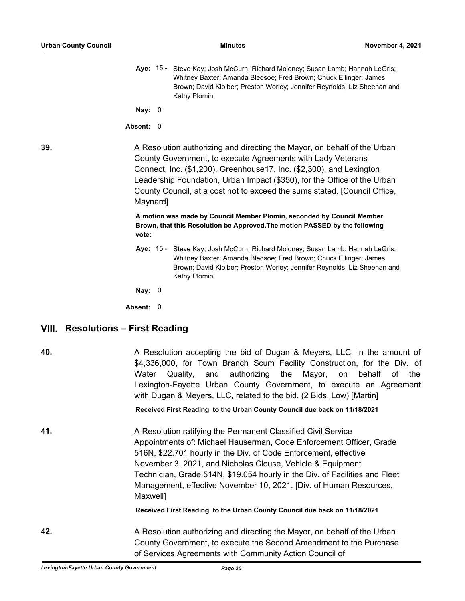|     |                                                                                                                                                                                                                                                                                                                                                                                      |  | Aye: 15 - Steve Kay; Josh McCurn; Richard Moloney; Susan Lamb; Hannah LeGris;<br>Whitney Baxter; Amanda Bledsoe; Fred Brown; Chuck Ellinger; James<br>Brown; David Kloiber; Preston Worley; Jennifer Reynolds; Liz Sheehan and<br>Kathy Plomin |  |
|-----|--------------------------------------------------------------------------------------------------------------------------------------------------------------------------------------------------------------------------------------------------------------------------------------------------------------------------------------------------------------------------------------|--|------------------------------------------------------------------------------------------------------------------------------------------------------------------------------------------------------------------------------------------------|--|
|     | Nay: $0$                                                                                                                                                                                                                                                                                                                                                                             |  |                                                                                                                                                                                                                                                |  |
|     | Absent: 0                                                                                                                                                                                                                                                                                                                                                                            |  |                                                                                                                                                                                                                                                |  |
| 39. | A Resolution authorizing and directing the Mayor, on behalf of the Urban<br>County Government, to execute Agreements with Lady Veterans<br>Connect, Inc. (\$1,200), Greenhouse17, Inc. (\$2,300), and Lexington<br>Leadership Foundation, Urban Impact (\$350), for the Office of the Urban<br>County Council, at a cost not to exceed the sums stated. [Council Office,<br>Maynard] |  |                                                                                                                                                                                                                                                |  |
|     |                                                                                                                                                                                                                                                                                                                                                                                      |  | A motion was made by Council Member Plomin, seconded by Council Member                                                                                                                                                                         |  |

**Brown, that this Resolution be Approved.The motion PASSED by the following vote:**

Aye: 15 - Steve Kay; Josh McCurn; Richard Moloney; Susan Lamb; Hannah LeGris; Whitney Baxter; Amanda Bledsoe; Fred Brown; Chuck Ellinger; James Brown; David Kloiber; Preston Worley; Jennifer Reynolds; Liz Sheehan and Kathy Plomin

**Nay:** 0

**Absent:** 0

# **VIII. Resolutions – First Reading**

| ×<br>۰.<br>M.<br>۰. |  |
|---------------------|--|
|                     |  |

**40.** A Resolution accepting the bid of Dugan & Meyers, LLC, in the amount of \$4,336,000, for Town Branch Scum Facility Construction, for the Div. of Water Quality, and authorizing the Mayor, on behalf of the Lexington-Fayette Urban County Government, to execute an Agreement with Dugan & Meyers, LLC, related to the bid. (2 Bids, Low) [Martin]

**Received First Reading to the Urban County Council due back on 11/18/2021**

**41.** A Resolution ratifying the Permanent Classified Civil Service Appointments of: Michael Hauserman, Code Enforcement Officer, Grade 516N, \$22.701 hourly in the Div. of Code Enforcement, effective November 3, 2021, and Nicholas Clouse, Vehicle & Equipment Technician, Grade 514N, \$19.054 hourly in the Div. of Facilities and Fleet Management, effective November 10, 2021. [Div. of Human Resources, Maxwell]

**Received First Reading to the Urban County Council due back on 11/18/2021**

**42.** A Resolution authorizing and directing the Mayor, on behalf of the Urban County Government, to execute the Second Amendment to the Purchase of Services Agreements with Community Action Council of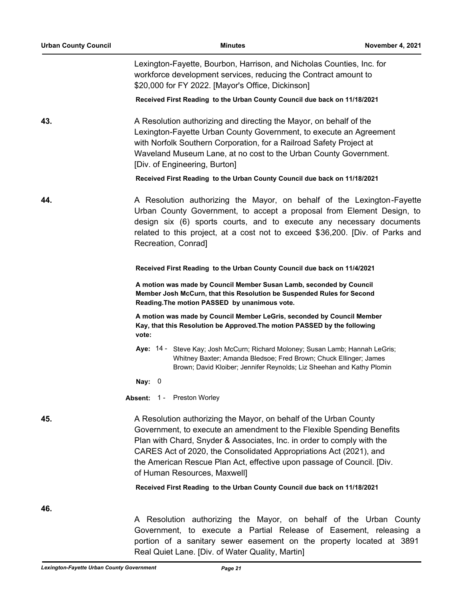| <b>Urban County Council</b>                                                                                                                                                                                                                                                                                                                                                                                 | <b>Minutes</b>                                                                                                                                                                                                                                                                                                                  | November 4, 2021 |  |  |  |
|-------------------------------------------------------------------------------------------------------------------------------------------------------------------------------------------------------------------------------------------------------------------------------------------------------------------------------------------------------------------------------------------------------------|---------------------------------------------------------------------------------------------------------------------------------------------------------------------------------------------------------------------------------------------------------------------------------------------------------------------------------|------------------|--|--|--|
|                                                                                                                                                                                                                                                                                                                                                                                                             | Lexington-Fayette, Bourbon, Harrison, and Nicholas Counties, Inc. for<br>workforce development services, reducing the Contract amount to<br>\$20,000 for FY 2022. [Mayor's Office, Dickinson]                                                                                                                                   |                  |  |  |  |
|                                                                                                                                                                                                                                                                                                                                                                                                             | Received First Reading to the Urban County Council due back on 11/18/2021                                                                                                                                                                                                                                                       |                  |  |  |  |
| 43.                                                                                                                                                                                                                                                                                                                                                                                                         | A Resolution authorizing and directing the Mayor, on behalf of the<br>Lexington-Fayette Urban County Government, to execute an Agreement<br>with Norfolk Southern Corporation, for a Railroad Safety Project at<br>Waveland Museum Lane, at no cost to the Urban County Government.<br>[Div. of Engineering, Burton]            |                  |  |  |  |
|                                                                                                                                                                                                                                                                                                                                                                                                             | Received First Reading to the Urban County Council due back on 11/18/2021                                                                                                                                                                                                                                                       |                  |  |  |  |
| 44.                                                                                                                                                                                                                                                                                                                                                                                                         | A Resolution authorizing the Mayor, on behalf of the Lexington-Fayette<br>Urban County Government, to accept a proposal from Element Design, to<br>design six (6) sports courts, and to execute any necessary documents<br>related to this project, at a cost not to exceed \$36,200. [Div. of Parks and<br>Recreation, Conrad] |                  |  |  |  |
|                                                                                                                                                                                                                                                                                                                                                                                                             | Received First Reading to the Urban County Council due back on 11/4/2021                                                                                                                                                                                                                                                        |                  |  |  |  |
|                                                                                                                                                                                                                                                                                                                                                                                                             | A motion was made by Council Member Susan Lamb, seconded by Council<br>Member Josh McCurn, that this Resolution be Suspended Rules for Second<br>Reading. The motion PASSED by unanimous vote.                                                                                                                                  |                  |  |  |  |
|                                                                                                                                                                                                                                                                                                                                                                                                             | A motion was made by Council Member LeGris, seconded by Council Member<br>Kay, that this Resolution be Approved. The motion PASSED by the following<br>vote:                                                                                                                                                                    |                  |  |  |  |
|                                                                                                                                                                                                                                                                                                                                                                                                             | Aye: 14 - Steve Kay; Josh McCurn; Richard Moloney; Susan Lamb; Hannah LeGris;<br>Whitney Baxter; Amanda Bledsoe; Fred Brown; Chuck Ellinger; James<br>Brown; David Kloiber; Jennifer Reynolds; Liz Sheehan and Kathy Plomin                                                                                                     |                  |  |  |  |
|                                                                                                                                                                                                                                                                                                                                                                                                             | Nay: $0$                                                                                                                                                                                                                                                                                                                        |                  |  |  |  |
|                                                                                                                                                                                                                                                                                                                                                                                                             | Absent: 1 - Preston Worley                                                                                                                                                                                                                                                                                                      |                  |  |  |  |
| 45.<br>A Resolution authorizing the Mayor, on behalf of the Urban County<br>Government, to execute an amendment to the Flexible Spending Benefits<br>Plan with Chard, Snyder & Associates, Inc. in order to comply with the<br>CARES Act of 2020, the Consolidated Appropriations Act (2021), and<br>the American Rescue Plan Act, effective upon passage of Council. [Div.<br>of Human Resources, Maxwell] |                                                                                                                                                                                                                                                                                                                                 |                  |  |  |  |
|                                                                                                                                                                                                                                                                                                                                                                                                             | Received First Reading to the Urban County Council due back on 11/18/2021                                                                                                                                                                                                                                                       |                  |  |  |  |
| 46.                                                                                                                                                                                                                                                                                                                                                                                                         | A Resolution authorizing the Mayor, on behalf of the Urban County                                                                                                                                                                                                                                                               |                  |  |  |  |
|                                                                                                                                                                                                                                                                                                                                                                                                             | Government, to execute a Partial Release of Easement, releasing a<br>portion of a sanitary sewer easement on the property located at 3891                                                                                                                                                                                       |                  |  |  |  |

Real Quiet Lane. [Div. of Water Quality, Martin]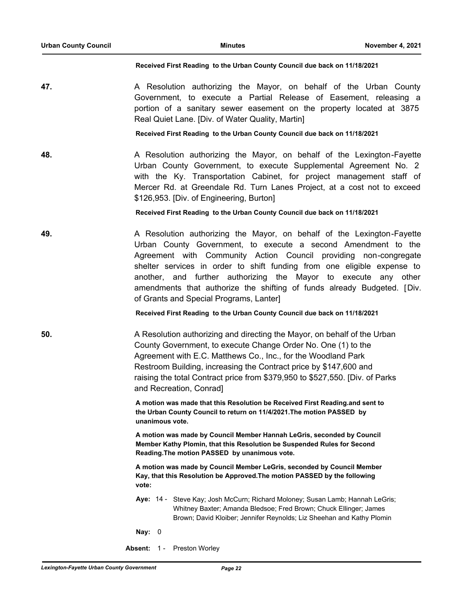#### **Received First Reading to the Urban County Council due back on 11/18/2021**

**47.** A Resolution authorizing the Mayor, on behalf of the Urban County Government, to execute a Partial Release of Easement, releasing a portion of a sanitary sewer easement on the property located at 3875 Real Quiet Lane. [Div. of Water Quality, Martin]

## **Received First Reading to the Urban County Council due back on 11/18/2021**

**48.** A Resolution authorizing the Mayor, on behalf of the Lexington-Fayette Urban County Government, to execute Supplemental Agreement No. 2 with the Ky. Transportation Cabinet, for project management staff of Mercer Rd. at Greendale Rd. Turn Lanes Project, at a cost not to exceed \$126,953. [Div. of Engineering, Burton]

# **Received First Reading to the Urban County Council due back on 11/18/2021**

**49.** A Resolution authorizing the Mayor, on behalf of the Lexington-Fayette Urban County Government, to execute a second Amendment to the Agreement with Community Action Council providing non-congregate shelter services in order to shift funding from one eligible expense to another, and further authorizing the Mayor to execute any other amendments that authorize the shifting of funds already Budgeted. [Div. of Grants and Special Programs, Lanter]

# **Received First Reading to the Urban County Council due back on 11/18/2021**

**50.** A Resolution authorizing and directing the Mayor, on behalf of the Urban County Government, to execute Change Order No. One (1) to the Agreement with E.C. Matthews Co., Inc., for the Woodland Park Restroom Building, increasing the Contract price by \$147,600 and raising the total Contract price from \$379,950 to \$527,550. [Div. of Parks and Recreation, Conrad]

> **A motion was made that this Resolution be Received First Reading.and sent to the Urban County Council to return on 11/4/2021.The motion PASSED by unanimous vote.**

**A motion was made by Council Member Hannah LeGris, seconded by Council Member Kathy Plomin, that this Resolution be Suspended Rules for Second Reading.The motion PASSED by unanimous vote.**

**A motion was made by Council Member LeGris, seconded by Council Member Kay, that this Resolution be Approved.The motion PASSED by the following vote:**

Aye: 14 - Steve Kay; Josh McCurn; Richard Moloney; Susan Lamb; Hannah LeGris; Whitney Baxter; Amanda Bledsoe; Fred Brown; Chuck Ellinger; James Brown; David Kloiber; Jennifer Reynolds; Liz Sheehan and Kathy Plomin

**Nay:** 0

**Absent:** 1 - Preston Worley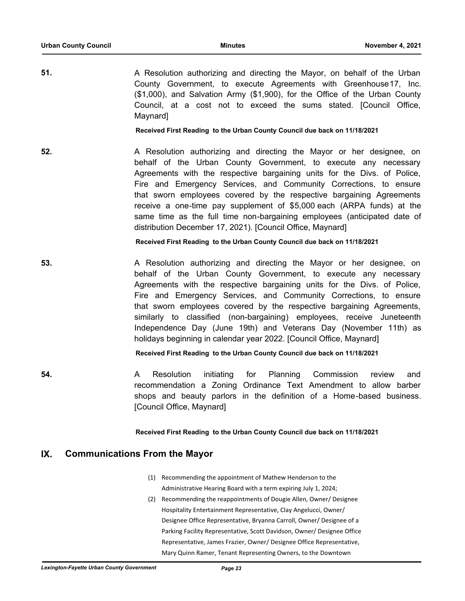**51.** A Resolution authorizing and directing the Mayor, on behalf of the Urban County Government, to execute Agreements with Greenhouse17, Inc. (\$1,000), and Salvation Army (\$1,900), for the Office of the Urban County Council, at a cost not to exceed the sums stated. [Council Office, Maynard]

**Received First Reading to the Urban County Council due back on 11/18/2021**

**52. A Resolution authorizing and directing the Mayor or her designee, on** behalf of the Urban County Government, to execute any necessary Agreements with the respective bargaining units for the Divs. of Police, Fire and Emergency Services, and Community Corrections, to ensure that sworn employees covered by the respective bargaining Agreements receive a one-time pay supplement of \$5,000 each (ARPA funds) at the same time as the full time non-bargaining employees (anticipated date of distribution December 17, 2021). [Council Office, Maynard]

**Received First Reading to the Urban County Council due back on 11/18/2021**

**53.** A Resolution authorizing and directing the Mayor or her designee, on behalf of the Urban County Government, to execute any necessary Agreements with the respective bargaining units for the Divs. of Police, Fire and Emergency Services, and Community Corrections, to ensure that sworn employees covered by the respective bargaining Agreements, similarly to classified (non-bargaining) employees, receive Juneteenth Independence Day (June 19th) and Veterans Day (November 11th) as holidays beginning in calendar year 2022. [Council Office, Maynard]

**Received First Reading to the Urban County Council due back on 11/18/2021**

**54. A** Resolution initiating for Planning Commission review and recommendation a Zoning Ordinance Text Amendment to allow barber shops and beauty parlors in the definition of a Home-based business. [Council Office, Maynard]

### **Received First Reading to the Urban County Council due back on 11/18/2021**

# **IX. Communications From the Mayor**

- (1) Recommending the appointment of Mathew Henderson to the Administrative Hearing Board with a term expiring July 1, 2024;
- (2) Recommending the reappointments of Dougie Allen, Owner/ Designee Hospitality Entertainment Representative, Clay Angelucci, Owner/ Designee Office Representative, Bryanna Carroll, Owner/ Designee of a Parking Facility Representative, Scott Davidson, Owner/ Designee Office Representative, James Frazier, Owner/ Designee Office Representative, Mary Quinn Ramer, Tenant Representing Owners, to the Downtown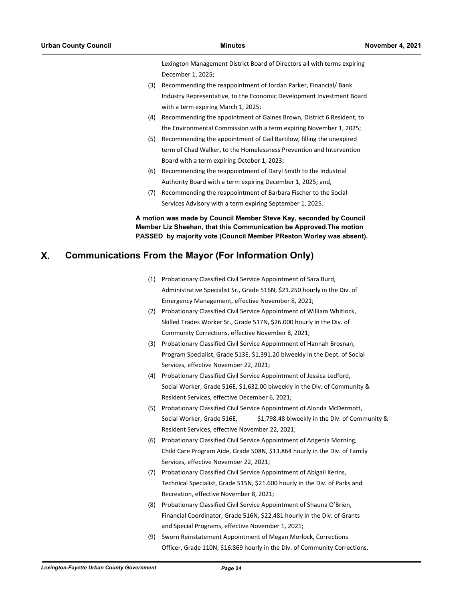Lexington Management District Board of Directors all with terms expiring December 1, 2025;

- (3) Recommending the reappointment of Jordan Parker, Financial/ Bank Industry Representative, to the Economic Development Investment Board with a term expiring March 1, 2025;
- (4) Recommending the appointment of Gaines Brown, District 6 Resident, to the Environmental Commission with a term expiring November 1, 2025;
- (5) Recommending the appointment of Gail Bartilow, filling the unexpired term of Chad Walker, to the Homelessness Prevention and Intervention Board with a term expiring October 1, 2023;
- (6) Recommending the reappointment of Daryl Smith to the Industrial Authority Board with a term expiring December 1, 2025; and,
- (7) Recommending the reappointment of Barbara Fischer to the Social Services Advisory with a term expiring September 1, 2025.

**A motion was made by Council Member Steve Kay, seconded by Council Member Liz Sheehan, that this Communication be Approved.The motion PASSED by majority vote (Council Member PReston Worley was absent).**

# **X. Communications From the Mayor (For Information Only)**

- (1) Probationary Classified Civil Service Appointment of Sara Burd, Administrative Specialist Sr., Grade 516N, \$21.250 hourly in the Div. of Emergency Management, effective November 8, 2021;
- (2) Probationary Classified Civil Service Appointment of William Whitlock, Skilled Trades Worker Sr., Grade 517N, \$26.000 hourly in the Div. of Community Corrections, effective November 8, 2021;
- (3) Probationary Classified Civil Service Appointment of Hannah Brosnan, Program Specialist, Grade 513E, \$1,391.20 biweekly in the Dept. of Social Services, effective November 22, 2021;
- (4) Probationary Classified Civil Service Appointment of Jessica Ledford, Social Worker, Grade 516E, \$1,632.00 biweekly in the Div. of Community & Resident Services, effective December 6, 2021;
- (5) Probationary Classified Civil Service Appointment of Alonda McDermott, Social Worker, Grade 516E, \$1,798.48 biweekly in the Div. of Community & Resident Services, effective November 22, 2021;
- (6) Probationary Classified Civil Service Appointment of Angenia Morning, Child Care Program Aide, Grade 508N, \$13.864 hourly in the Div. of Family Services, effective November 22, 2021;
- (7) Probationary Classified Civil Service Appointment of Abigail Kerins, Technical Specialist, Grade 515N, \$21.600 hourly in the Div. of Parks and Recreation, effective November 8, 2021;
- (8) Probationary Classified Civil Service Appointment of Shauna O'Brien, Financial Coordinator, Grade 516N, \$22.481 hourly in the Div. of Grants and Special Programs, effective November 1, 2021;
- (9) Sworn Reinstatement Appointment of Megan Morlock, Corrections Officer, Grade 110N, \$16.869 hourly in the Div. of Community Corrections,